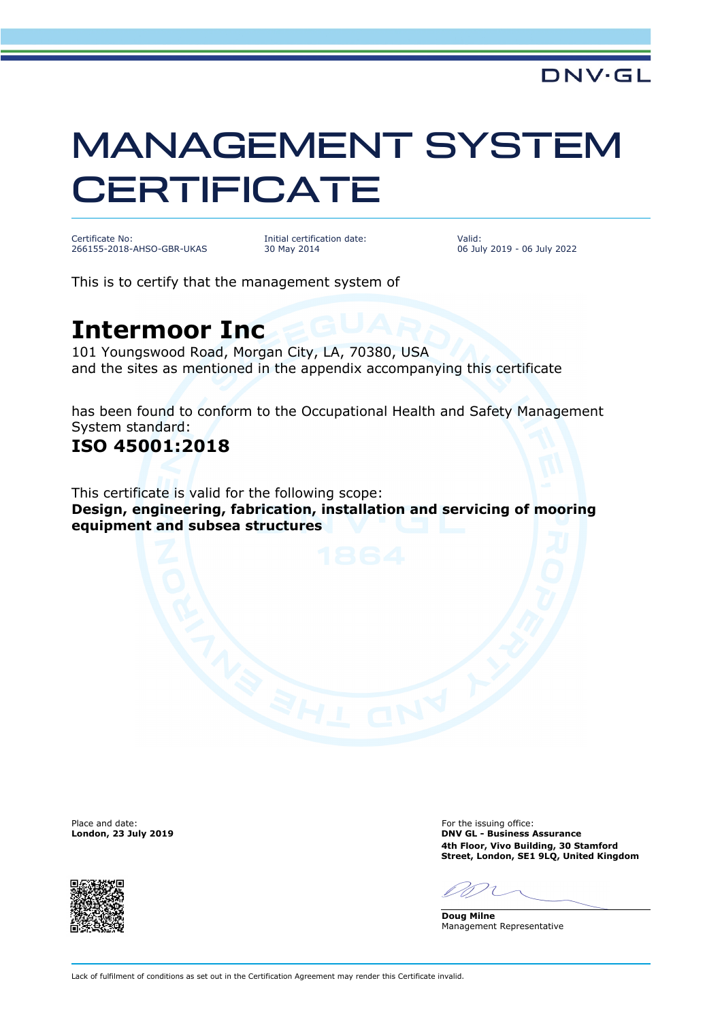# MANAGEMENT SYSTEM **CERTIFICATE**

Certificate No: 266155-2018-AHSO-GBR-UKAS Initial certification date: 30 May 2014

Valid: 06 July 2019 - 06 July 2022

This is to certify that the management system of

## **Intermoor Inc**

101 Youngswood Road, Morgan City, LA, 70380, USA and the sites as mentioned in the appendix accompanying this certificate

has been found to conform to the Occupational Health and Safety Management System standard:

### **ISO 45001:2018**

This certificate is valid for the following scope: **Design, engineering, fabrication, installation and servicing of mooring equipment and subsea structures**

Place and date: For the issuing office:<br> **Place and date:** For the issuing office:<br> **Example 2019**<br>
Place and date: **For the issuing office:** For the issuing office:



**London, 23 July 2019 DNV GL - Business Assurance 4th Floor, Vivo Building, 30 Stamford Street, London, SE1 9LQ, United Kingdom**

**Doug Milne** Management Representative